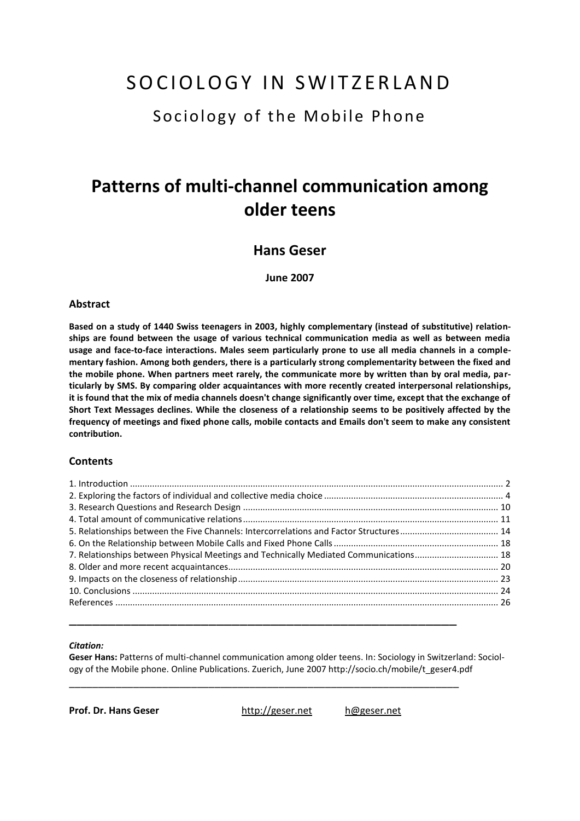# SOCIOLOGY IN SWITZERLAND

# Sociology of the Mobile Phone

# **Patterns of multi-channel communication among older teens**

### **Hans Geser**

**June 2007**

#### **Abstract**

**Based on a study of 1440 Swiss teenagers in 2003, highly complementary (instead of substitutive) relationships are found between the usage of various technical communication media as well as between media usage and face-to-face interactions. Males seem particularly prone to use all media channels in a complementary fashion. Among both genders, there is a particularly strong complementarity between the fixed and the mobile phone. When partners meet rarely, the communicate more by written than by oral media, particularly by SMS. By comparing older acquaintances with more recently created interpersonal relationships, it is found that the mix of media channels doesn't change significantly over time, except that the exchange of Short Text Messages declines. While the closeness of a relationship seems to be positively affected by the frequency of meetings and fixed phone calls, mobile contacts and Emails don't seem to make any consistent contribution.** 

### **Contents**

| 5. Relationships between the Five Channels: Intercorrelations and Factor Structures 14 |  |
|----------------------------------------------------------------------------------------|--|
|                                                                                        |  |
| 7. Relationships between Physical Meetings and Technically Mediated Communications 18  |  |
|                                                                                        |  |
|                                                                                        |  |
|                                                                                        |  |
|                                                                                        |  |
|                                                                                        |  |
|                                                                                        |  |

#### *Citation:*

**Geser Hans:** Patterns of multi-channel communication among older teens. In: Sociology in Switzerland: Sociology of the Mobile phone. Online Publications. Zuerich, June 2007 [http://socio.ch/mobile/t\\_geser4.pdf](http://socio.ch/mobile/t_geser4.pdf)

**Prof. Dr. Hans Geser** [http://geser.net](http://geser.net/) [h@geser.net](mailto:h@geser.net)

\_\_\_\_\_\_\_\_\_\_\_\_\_\_\_\_\_\_\_\_\_\_\_\_\_\_\_\_\_\_\_\_\_\_\_\_\_\_\_\_\_\_\_\_\_\_\_\_\_\_\_\_\_\_\_\_\_\_\_\_\_\_\_\_\_\_\_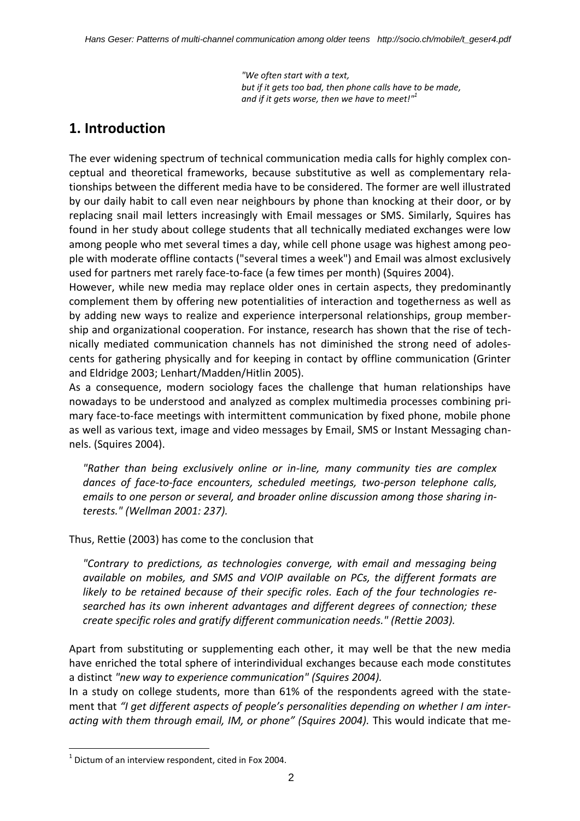*"We often start with a text, but if it gets too bad, then phone calls have to be made, and if it gets worse, then we have to meet!"<sup>1</sup>*

### <span id="page-1-0"></span>**1. Introduction**

The ever widening spectrum of technical communication media calls for highly complex conceptual and theoretical frameworks, because substitutive as well as complementary relationships between the different media have to be considered. The former are well illustrated by our daily habit to call even near neighbours by phone than knocking at their door, or by replacing snail mail letters increasingly with Email messages or SMS. Similarly, Squires has found in her study about college students that all technically mediated exchanges were low among people who met several times a day, while cell phone usage was highest among people with moderate offline contacts ("several times a week") and Email was almost exclusively used for partners met rarely face-to-face (a few times per month) (Squires 2004).

However, while new media may replace older ones in certain aspects, they predominantly complement them by offering new potentialities of interaction and togetherness as well as by adding new ways to realize and experience interpersonal relationships, group membership and organizational cooperation. For instance, research has shown that the rise of technically mediated communication channels has not diminished the strong need of adolescents for gathering physically and for keeping in contact by offline communication (Grinter and Eldridge 2003; Lenhart/Madden/Hitlin 2005).

As a consequence, modern sociology faces the challenge that human relationships have nowadays to be understood and analyzed as complex multimedia processes combining primary face-to-face meetings with intermittent communication by fixed phone, mobile phone as well as various text, image and video messages by Email, SMS or Instant Messaging channels. (Squires 2004).

*"Rather than being exclusively online or in-line, many community ties are complex dances of face-to-face encounters, scheduled meetings, two-person telephone calls, emails to one person or several, and broader online discussion among those sharing interests." (Wellman 2001: 237).*

Thus, Rettie (2003) has come to the conclusion that

*"Contrary to predictions, as technologies converge, with email and messaging being available on mobiles, and SMS and VOIP available on PCs, the different formats are likely to be retained because of their specific roles. Each of the four technologies researched has its own inherent advantages and different degrees of connection; these create specific roles and gratify different communication needs." (Rettie 2003).*

Apart from substituting or supplementing each other, it may well be that the new media have enriched the total sphere of interindividual exchanges because each mode constitutes a distinct *"new way to experience communication" (Squires 2004).*

In a study on college students, more than 61% of the respondents agreed with the statement that *"I get different aspects of people's personalities depending on whether I am interacting with them through email, IM, or phone" (Squires 2004).* This would indicate that me-

 $\overline{a}$ 

 $1$  Dictum of an interview respondent, cited in Fox 2004.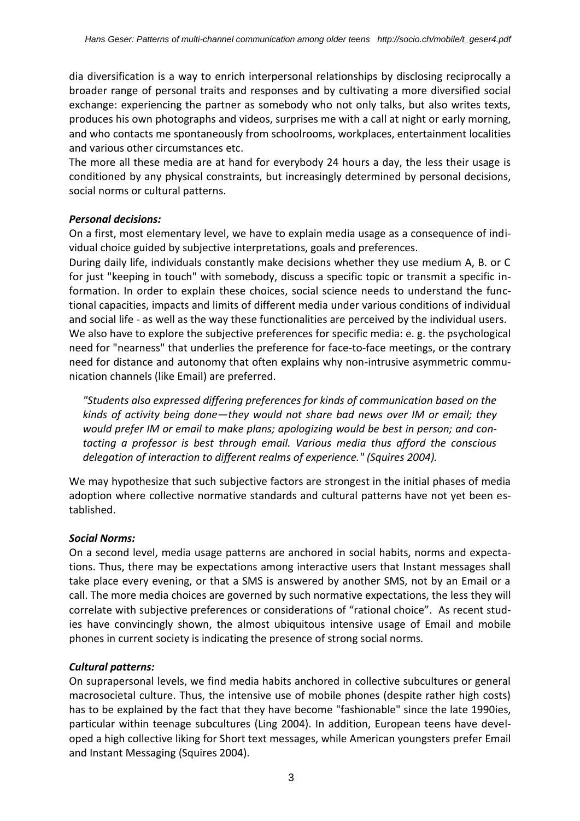dia diversification is a way to enrich interpersonal relationships by disclosing reciprocally a broader range of personal traits and responses and by cultivating a more diversified social exchange: experiencing the partner as somebody who not only talks, but also writes texts, produces his own photographs and videos, surprises me with a call at night or early morning, and who contacts me spontaneously from schoolrooms, workplaces, entertainment localities and various other circumstances etc.

The more all these media are at hand for everybody 24 hours a day, the less their usage is conditioned by any physical constraints, but increasingly determined by personal decisions, social norms or cultural patterns.

### *Personal decisions:*

On a first, most elementary level, we have to explain media usage as a consequence of individual choice guided by subjective interpretations, goals and preferences.

During daily life, individuals constantly make decisions whether they use medium A, B. or C for just "keeping in touch" with somebody, discuss a specific topic or transmit a specific information. In order to explain these choices, social science needs to understand the functional capacities, impacts and limits of different media under various conditions of individual and social life - as well as the way these functionalities are perceived by the individual users. We also have to explore the subjective preferences for specific media: e. g. the psychological need for "nearness" that underlies the preference for face-to-face meetings, or the contrary need for distance and autonomy that often explains why non-intrusive asymmetric communication channels (like Email) are preferred.

*"Students also expressed differing preferences for kinds of communication based on the kinds of activity being done—they would not share bad news over IM or email; they would prefer IM or email to make plans; apologizing would be best in person; and contacting a professor is best through email. Various media thus afford the conscious delegation of interaction to different realms of experience." (Squires 2004).*

We may hypothesize that such subjective factors are strongest in the initial phases of media adoption where collective normative standards and cultural patterns have not yet been established.

### *Social Norms:*

On a second level, media usage patterns are anchored in social habits, norms and expectations. Thus, there may be expectations among interactive users that Instant messages shall take place every evening, or that a SMS is answered by another SMS, not by an Email or a call. The more media choices are governed by such normative expectations, the less they will correlate with subjective preferences or considerations of "rational choice". As recent studies have convincingly shown, the almost ubiquitous intensive usage of Email and mobile phones in current society is indicating the presence of strong social norms.

### *Cultural patterns:*

On suprapersonal levels, we find media habits anchored in collective subcultures or general macrosocietal culture. Thus, the intensive use of mobile phones (despite rather high costs) has to be explained by the fact that they have become "fashionable" since the late 1990ies, particular within teenage subcultures (Ling 2004). In addition, European teens have developed a high collective liking for Short text messages, while American youngsters prefer Email and Instant Messaging (Squires 2004).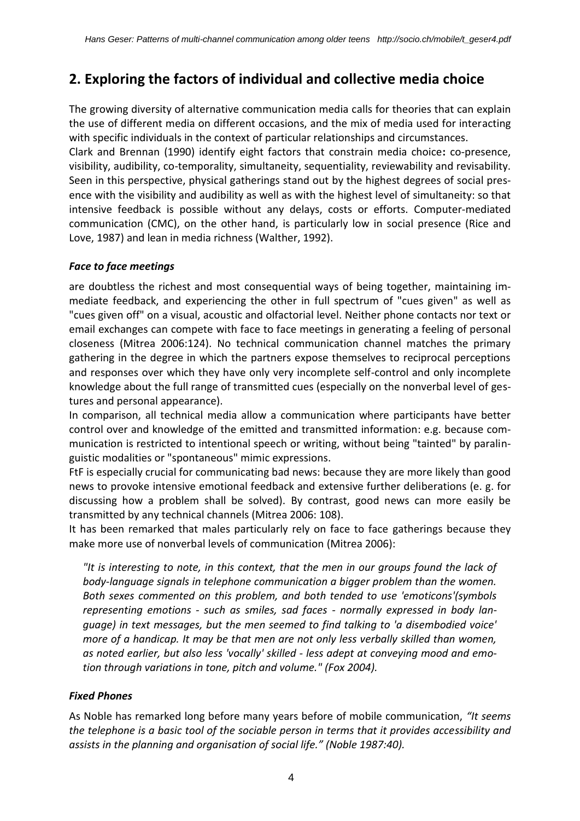# <span id="page-3-0"></span>**2. Exploring the factors of individual and collective media choice**

The growing diversity of alternative communication media calls for theories that can explain the use of different media on different occasions, and the mix of media used for interacting with specific individuals in the context of particular relationships and circumstances.

Clark and Brennan (1990) identify eight factors that constrain media choice**:** co-presence, visibility, audibility, co-temporality, simultaneity, sequentiality, reviewability and revisability. Seen in this perspective, physical gatherings stand out by the highest degrees of social presence with the visibility and audibility as well as with the highest level of simultaneity: so that intensive feedback is possible without any delays, costs or efforts. Computer-mediated communication (CMC), on the other hand, is particularly low in social presence (Rice and Love, 1987) and lean in media richness (Walther, 1992).

### *Face to face meetings*

are doubtless the richest and most consequential ways of being together, maintaining immediate feedback, and experiencing the other in full spectrum of "cues given" as well as "cues given off" on a visual, acoustic and olfactorial level. Neither phone contacts nor text or email exchanges can compete with face to face meetings in generating a feeling of personal closeness (Mitrea 2006:124). No technical communication channel matches the primary gathering in the degree in which the partners expose themselves to reciprocal perceptions and responses over which they have only very incomplete self-control and only incomplete knowledge about the full range of transmitted cues (especially on the nonverbal level of gestures and personal appearance).

In comparison, all technical media allow a communication where participants have better control over and knowledge of the emitted and transmitted information: e.g. because communication is restricted to intentional speech or writing, without being "tainted" by paralinguistic modalities or "spontaneous" mimic expressions.

FtF is especially crucial for communicating bad news: because they are more likely than good news to provoke intensive emotional feedback and extensive further deliberations (e. g. for discussing how a problem shall be solved). By contrast, good news can more easily be transmitted by any technical channels (Mitrea 2006: 108).

It has been remarked that males particularly rely on face to face gatherings because they make more use of nonverbal levels of communication (Mitrea 2006):

*"It is interesting to note, in this context, that the men in our groups found the lack of body-language signals in telephone communication a bigger problem than the women. Both sexes commented on this problem, and both tended to use 'emoticons'(symbols representing emotions - such as smiles, sad faces - normally expressed in body language) in text messages, but the men seemed to find talking to 'a disembodied voice' more of a handicap. It may be that men are not only less verbally skilled than women, as noted earlier, but also less 'vocally' skilled - less adept at conveying mood and emotion through variations in tone, pitch and volume." (Fox 2004).*

### *Fixed Phones*

As Noble has remarked long before many years before of mobile communication, *"It seems the telephone is a basic tool of the sociable person in terms that it provides accessibility and assists in the planning and organisation of social life." (Noble 1987:40).*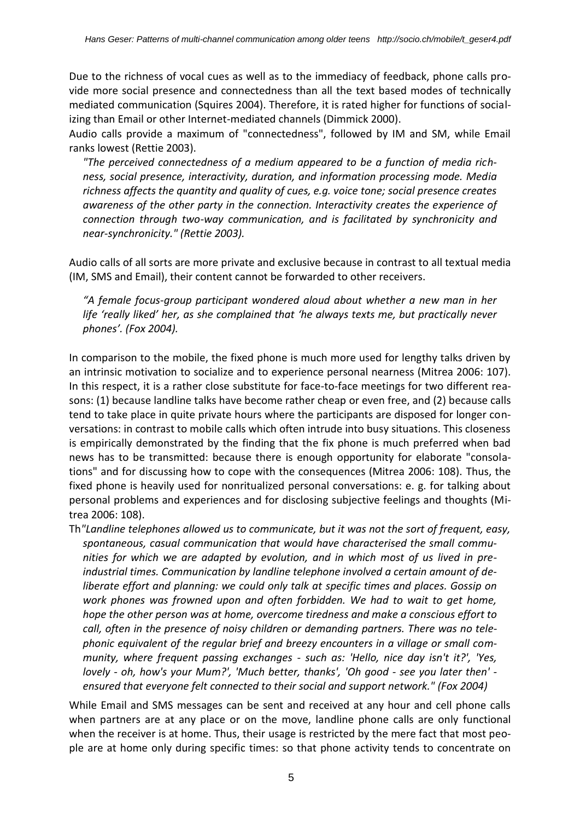Due to the richness of vocal cues as well as to the immediacy of feedback, phone calls provide more social presence and connectedness than all the text based modes of technically mediated communication (Squires 2004). Therefore, it is rated higher for functions of socializing than Email or other Internet-mediated channels (Dimmick 2000).

Audio calls provide a maximum of "connectedness", followed by IM and SM, while Email ranks lowest (Rettie 2003).

*"The perceived connectedness of a medium appeared to be a function of media richness, social presence, interactivity, duration, and information processing mode. Media richness affects the quantity and quality of cues, e.g. voice tone; social presence creates awareness of the other party in the connection. Interactivity creates the experience of connection through two-way communication, and is facilitated by synchronicity and near-synchronicity." (Rettie 2003).*

Audio calls of all sorts are more private and exclusive because in contrast to all textual media (IM, SMS and Email), their content cannot be forwarded to other receivers.

*"A female focus-group participant wondered aloud about whether a new man in her life 'really liked' her, as she complained that 'he always texts me, but practically never phones'. (Fox 2004).*

In comparison to the mobile, the fixed phone is much more used for lengthy talks driven by an intrinsic motivation to socialize and to experience personal nearness (Mitrea 2006: 107). In this respect, it is a rather close substitute for face-to-face meetings for two different reasons: (1) because landline talks have become rather cheap or even free, and (2) because calls tend to take place in quite private hours where the participants are disposed for longer conversations: in contrast to mobile calls which often intrude into busy situations. This closeness is empirically demonstrated by the finding that the fix phone is much preferred when bad news has to be transmitted: because there is enough opportunity for elaborate "consolations" and for discussing how to cope with the consequences (Mitrea 2006: 108). Thus, the fixed phone is heavily used for nonritualized personal conversations: e. g. for talking about personal problems and experiences and for disclosing subjective feelings and thoughts (Mitrea 2006: 108).

Th*"Landline telephones allowed us to communicate, but it was not the sort of frequent, easy, spontaneous, casual communication that would have characterised the small communities for which we are adapted by evolution, and in which most of us lived in preindustrial times. Communication by landline telephone involved a certain amount of deliberate effort and planning: we could only talk at specific times and places. Gossip on*  work phones was frowned upon and often forbidden. We had to wait to get home, *hope the other person was at home, overcome tiredness and make a conscious effort to call, often in the presence of noisy children or demanding partners. There was no telephonic equivalent of the regular brief and breezy encounters in a village or small community, where frequent passing exchanges - such as: 'Hello, nice day isn't it?', 'Yes, lovely - oh, how's your Mum?', 'Much better, thanks', 'Oh good - see you later then' ensured that everyone felt connected to their social and support network." (Fox 2004)*

While Email and SMS messages can be sent and received at any hour and cell phone calls when partners are at any place or on the move, landline phone calls are only functional when the receiver is at home. Thus, their usage is restricted by the mere fact that most people are at home only during specific times: so that phone activity tends to concentrate on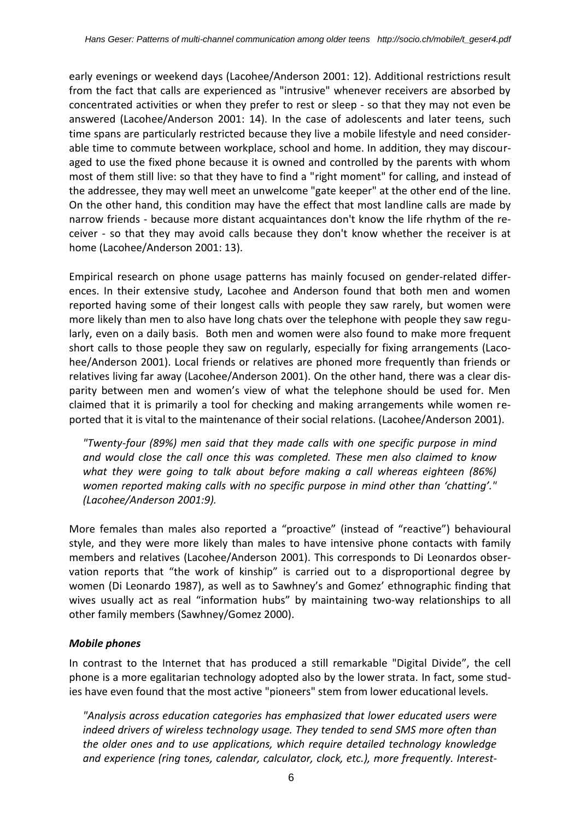early evenings or weekend days (Lacohee/Anderson 2001: 12). Additional restrictions result from the fact that calls are experienced as "intrusive" whenever receivers are absorbed by concentrated activities or when they prefer to rest or sleep - so that they may not even be answered (Lacohee/Anderson 2001: 14). In the case of adolescents and later teens, such time spans are particularly restricted because they live a mobile lifestyle and need considerable time to commute between workplace, school and home. In addition, they may discouraged to use the fixed phone because it is owned and controlled by the parents with whom most of them still live: so that they have to find a "right moment" for calling, and instead of the addressee, they may well meet an unwelcome "gate keeper" at the other end of the line. On the other hand, this condition may have the effect that most landline calls are made by narrow friends - because more distant acquaintances don't know the life rhythm of the receiver - so that they may avoid calls because they don't know whether the receiver is at home (Lacohee/Anderson 2001: 13).

Empirical research on phone usage patterns has mainly focused on gender-related differences. In their extensive study, Lacohee and Anderson found that both men and women reported having some of their longest calls with people they saw rarely, but women were more likely than men to also have long chats over the telephone with people they saw regularly, even on a daily basis. Both men and women were also found to make more frequent short calls to those people they saw on regularly, especially for fixing arrangements (Lacohee/Anderson 2001). Local friends or relatives are phoned more frequently than friends or relatives living far away (Lacohee/Anderson 2001). On the other hand, there was a clear disparity between men and women's view of what the telephone should be used for. Men claimed that it is primarily a tool for checking and making arrangements while women reported that it is vital to the maintenance of their social relations. (Lacohee/Anderson 2001).

*"Twenty-four (89%) men said that they made calls with one specific purpose in mind and would close the call once this was completed. These men also claimed to know*  what they were going to talk about before making a call whereas eighteen (86%) *women reported making calls with no specific purpose in mind other than 'chatting'." (Lacohee/Anderson 2001:9).*

More females than males also reported a "proactive" (instead of "reactive") behavioural style, and they were more likely than males to have intensive phone contacts with family members and relatives (Lacohee/Anderson 2001). This corresponds to Di Leonardos observation reports that "the work of kinship" is carried out to a disproportional degree by women (Di Leonardo 1987), as well as to Sawhney's and Gomez' ethnographic finding that wives usually act as real "information hubs" by maintaining two-way relationships to all other family members (Sawhney/Gomez 2000).

### *Mobile phones*

In contrast to the Internet that has produced a still remarkable "Digital Divide", the cell phone is a more egalitarian technology adopted also by the lower strata. In fact, some studies have even found that the most active "pioneers" stem from lower educational levels.

*"Analysis across education categories has emphasized that lower educated users were indeed drivers of wireless technology usage. They tended to send SMS more often than the older ones and to use applications, which require detailed technology knowledge and experience (ring tones, calendar, calculator, clock, etc.), more frequently. Interest-*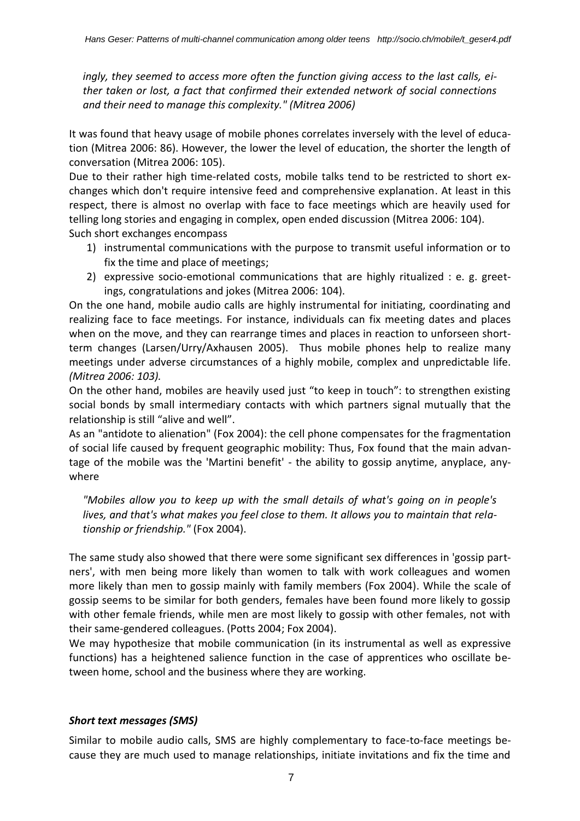*ingly, they seemed to access more often the function giving access to the last calls, either taken or lost, a fact that confirmed their extended network of social connections and their need to manage this complexity." (Mitrea 2006)*

It was found that heavy usage of mobile phones correlates inversely with the level of education (Mitrea 2006: 86). However, the lower the level of education, the shorter the length of conversation (Mitrea 2006: 105).

Due to their rather high time-related costs, mobile talks tend to be restricted to short exchanges which don't require intensive feed and comprehensive explanation. At least in this respect, there is almost no overlap with face to face meetings which are heavily used for telling long stories and engaging in complex, open ended discussion (Mitrea 2006: 104). Such short exchanges encompass

- 1) instrumental communications with the purpose to transmit useful information or to fix the time and place of meetings;
- 2) expressive socio-emotional communications that are highly ritualized : e. g. greetings, congratulations and jokes (Mitrea 2006: 104).

On the one hand, mobile audio calls are highly instrumental for initiating, coordinating and realizing face to face meetings. For instance, individuals can fix meeting dates and places when on the move, and they can rearrange times and places in reaction to unforseen shortterm changes (Larsen/Urry/Axhausen 2005). Thus mobile phones help to realize many meetings under adverse circumstances of a highly mobile, complex and unpredictable life. *(Mitrea 2006: 103).*

On the other hand, mobiles are heavily used just "to keep in touch": to strengthen existing social bonds by small intermediary contacts with which partners signal mutually that the relationship is still "alive and well".

As an "antidote to alienation" (Fox 2004): the cell phone compensates for the fragmentation of social life caused by frequent geographic mobility: Thus, Fox found that the main advantage of the mobile was the 'Martini benefit' - the ability to gossip anytime, anyplace, anywhere

*"Mobiles allow you to keep up with the small details of what's going on in people's lives, and that's what makes you feel close to them. It allows you to maintain that relationship or friendship."* (Fox 2004).

The same study also showed that there were some significant sex differences in 'gossip partners', with men being more likely than women to talk with work colleagues and women more likely than men to gossip mainly with family members (Fox 2004). While the scale of gossip seems to be similar for both genders, females have been found more likely to gossip with other female friends, while men are most likely to gossip with other females, not with their same-gendered colleagues. (Potts 2004; Fox 2004).

We may hypothesize that mobile communication (in its instrumental as well as expressive functions) has a heightened salience function in the case of apprentices who oscillate between home, school and the business where they are working.

### *Short text messages (SMS)*

Similar to mobile audio calls, SMS are highly complementary to face-to-face meetings because they are much used to manage relationships, initiate invitations and fix the time and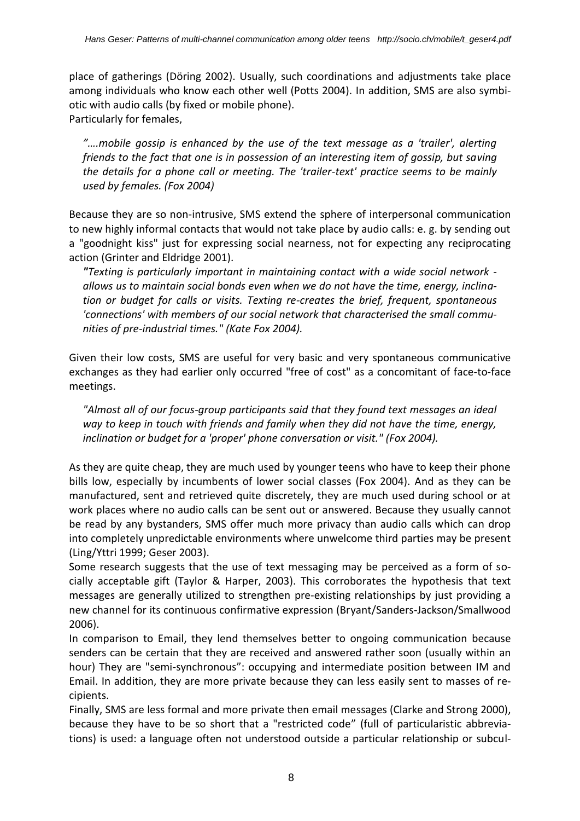place of gatherings (Döring 2002). Usually, such coordinations and adjustments take place among individuals who know each other well (Potts 2004). In addition, SMS are also symbiotic with audio calls (by fixed or mobile phone).

Particularly for females,

*"….mobile gossip is enhanced by the use of the text message as a 'trailer', alerting friends to the fact that one is in possession of an interesting item of gossip, but saving the details for a phone call or meeting. The 'trailer-text' practice seems to be mainly used by females. (Fox 2004)*

Because they are so non-intrusive, SMS extend the sphere of interpersonal communication to new highly informal contacts that would not take place by audio calls: e. g. by sending out a "goodnight kiss" just for expressing social nearness, not for expecting any reciprocating action (Grinter and Eldridge 2001).

*"Texting is particularly important in maintaining contact with a wide social network allows us to maintain social bonds even when we do not have the time, energy, inclination or budget for calls or visits. Texting re-creates the brief, frequent, spontaneous 'connections' with members of our social network that characterised the small communities of pre-industrial times." (Kate Fox 2004).*

Given their low costs, SMS are useful for very basic and very spontaneous communicative exchanges as they had earlier only occurred "free of cost" as a concomitant of face-to-face meetings.

*"Almost all of our focus-group participants said that they found text messages an ideal way to keep in touch with friends and family when they did not have the time, energy, inclination or budget for a 'proper' phone conversation or visit." (Fox 2004).*

As they are quite cheap, they are much used by younger teens who have to keep their phone bills low, especially by incumbents of lower social classes (Fox 2004). And as they can be manufactured, sent and retrieved quite discretely, they are much used during school or at work places where no audio calls can be sent out or answered. Because they usually cannot be read by any bystanders, SMS offer much more privacy than audio calls which can drop into completely unpredictable environments where unwelcome third parties may be present (Ling/Yttri 1999; Geser 2003).

Some research suggests that the use of text messaging may be perceived as a form of socially acceptable gift (Taylor & Harper, 2003). This corroborates the hypothesis that text messages are generally utilized to strengthen pre-existing relationships by just providing a new channel for its continuous confirmative expression (Bryant/Sanders-Jackson/Smallwood 2006).

In comparison to Email, they lend themselves better to ongoing communication because senders can be certain that they are received and answered rather soon (usually within an hour) They are "semi-synchronous": occupying and intermediate position between IM and Email. In addition, they are more private because they can less easily sent to masses of recipients.

Finally, SMS are less formal and more private then email messages (Clarke and Strong 2000), because they have to be so short that a "restricted code" (full of particularistic abbreviations) is used: a language often not understood outside a particular relationship or subcul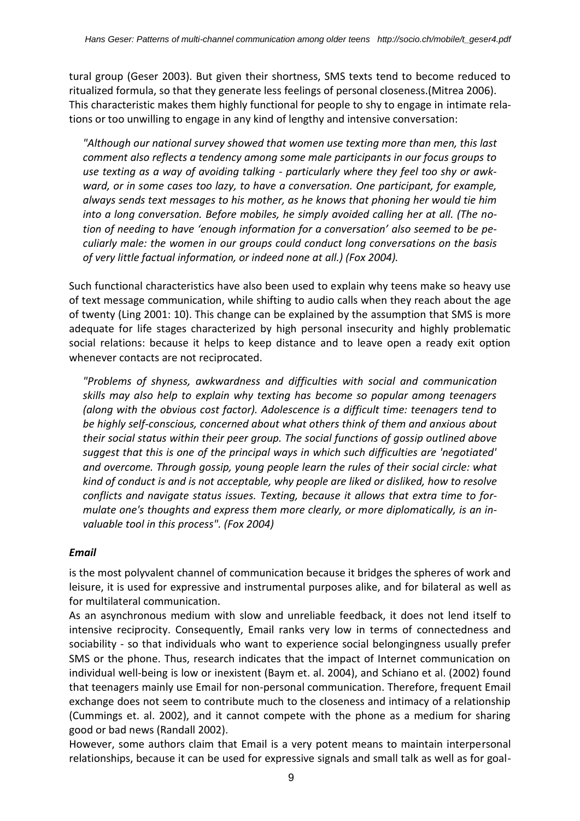tural group (Geser 2003). But given their shortness, SMS texts tend to become reduced to ritualized formula, so that they generate less feelings of personal closeness.(Mitrea 2006). This characteristic makes them highly functional for people to shy to engage in intimate relations or too unwilling to engage in any kind of lengthy and intensive conversation:

*"Although our national survey showed that women use texting more than men, this last comment also reflects a tendency among some male participants in our focus groups to use texting as a way of avoiding talking - particularly where they feel too shy or awkward, or in some cases too lazy, to have a conversation. One participant, for example, always sends text messages to his mother, as he knows that phoning her would tie him into a long conversation. Before mobiles, he simply avoided calling her at all. (The notion of needing to have 'enough information for a conversation' also seemed to be peculiarly male: the women in our groups could conduct long conversations on the basis of very little factual information, or indeed none at all.) (Fox 2004).*

Such functional characteristics have also been used to explain why teens make so heavy use of text message communication, while shifting to audio calls when they reach about the age of twenty (Ling 2001: 10). This change can be explained by the assumption that SMS is more adequate for life stages characterized by high personal insecurity and highly problematic social relations: because it helps to keep distance and to leave open a ready exit option whenever contacts are not reciprocated.

*"Problems of shyness, awkwardness and difficulties with social and communication skills may also help to explain why texting has become so popular among teenagers (along with the obvious cost factor). Adolescence is a difficult time: teenagers tend to be highly self-conscious, concerned about what others think of them and anxious about their social status within their peer group. The social functions of gossip outlined above suggest that this is one of the principal ways in which such difficulties are 'negotiated' and overcome. Through gossip, young people learn the rules of their social circle: what kind of conduct is and is not acceptable, why people are liked or disliked, how to resolve conflicts and navigate status issues. Texting, because it allows that extra time to formulate one's thoughts and express them more clearly, or more diplomatically, is an invaluable tool in this process". (Fox 2004)*

### *Email*

is the most polyvalent channel of communication because it bridges the spheres of work and leisure, it is used for expressive and instrumental purposes alike, and for bilateral as well as for multilateral communication.

As an asynchronous medium with slow and unreliable feedback, it does not lend itself to intensive reciprocity. Consequently, Email ranks very low in terms of connectedness and sociability - so that individuals who want to experience social belongingness usually prefer SMS or the phone. Thus, research indicates that the impact of Internet communication on individual well-being is low or inexistent (Baym et. al. 2004), and Schiano et al. (2002) found that teenagers mainly use Email for non-personal communication. Therefore, frequent Email exchange does not seem to contribute much to the closeness and intimacy of a relationship (Cummings et. al. 2002), and it cannot compete with the phone as a medium for sharing good or bad news (Randall 2002).

However, some authors claim that Email is a very potent means to maintain interpersonal relationships, because it can be used for expressive signals and small talk as well as for goal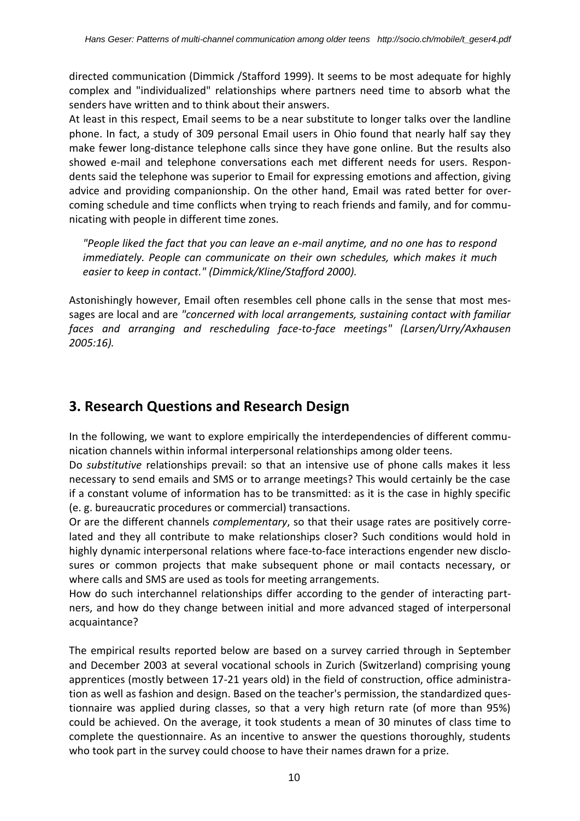directed communication (Dimmick /Stafford 1999). It seems to be most adequate for highly complex and "individualized" relationships where partners need time to absorb what the senders have written and to think about their answers.

At least in this respect, Email seems to be a near substitute to longer talks over the landline phone. In fact, a study of 309 personal Email users in Ohio found that nearly half say they make fewer long-distance telephone calls since they have gone online. But the results also showed e-mail and telephone conversations each met different needs for users. Respondents said the telephone was superior to Email for expressing emotions and affection, giving advice and providing companionship. On the other hand, Email was rated better for overcoming schedule and time conflicts when trying to reach friends and family, and for communicating with people in different time zones.

*"People liked the fact that you can leave an e-mail anytime, and no one has to respond immediately. People can communicate on their own schedules, which makes it much easier to keep in contact." (Dimmick/Kline/Stafford 2000).*

Astonishingly however, Email often resembles cell phone calls in the sense that most messages are local and are *"concerned with local arrangements, sustaining contact with familiar faces and arranging and rescheduling face-to-face meetings" (Larsen/Urry/Axhausen 2005:16).*

## <span id="page-9-0"></span>**3. Research Questions and Research Design**

In the following, we want to explore empirically the interdependencies of different communication channels within informal interpersonal relationships among older teens.

Do *substitutive* relationships prevail: so that an intensive use of phone calls makes it less necessary to send emails and SMS or to arrange meetings? This would certainly be the case if a constant volume of information has to be transmitted: as it is the case in highly specific (e. g. bureaucratic procedures or commercial) transactions.

Or are the different channels *complementary*, so that their usage rates are positively correlated and they all contribute to make relationships closer? Such conditions would hold in highly dynamic interpersonal relations where face-to-face interactions engender new disclosures or common projects that make subsequent phone or mail contacts necessary, or where calls and SMS are used as tools for meeting arrangements.

How do such interchannel relationships differ according to the gender of interacting partners, and how do they change between initial and more advanced staged of interpersonal acquaintance?

The empirical results reported below are based on a survey carried through in September and December 2003 at several vocational schools in Zurich (Switzerland) comprising young apprentices (mostly between 17-21 years old) in the field of construction, office administration as well as fashion and design. Based on the teacher's permission, the standardized questionnaire was applied during classes, so that a very high return rate (of more than 95%) could be achieved. On the average, it took students a mean of 30 minutes of class time to complete the questionnaire. As an incentive to answer the questions thoroughly, students who took part in the survey could choose to have their names drawn for a prize.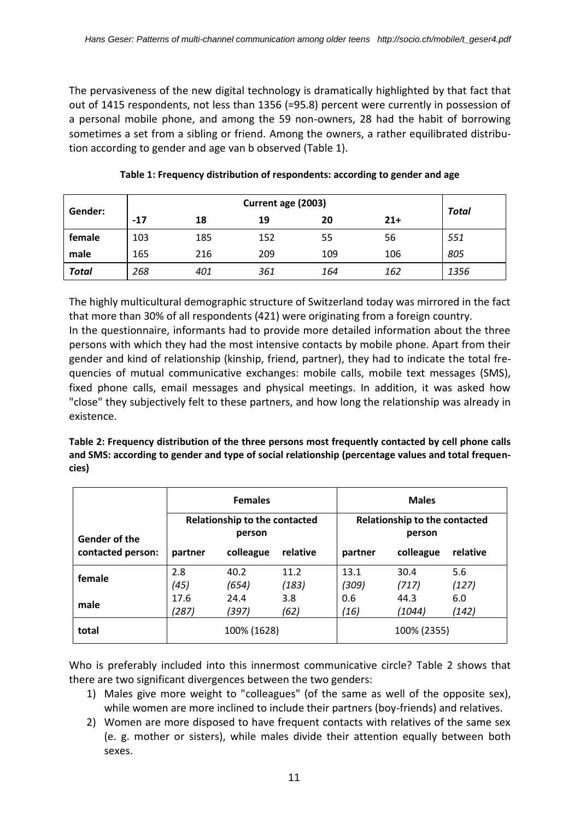The pervasiveness of the new digital technology is dramatically highlighted by that fact that out of 1415 respondents, not less than 1356 (=95.8) percent were currently in possession of a personal mobile phone, and among the 59 non-owners, 28 had the habit of borrowing sometimes a set from a sibling or friend. Among the owners, a rather equilibrated distribution according to gender and age van b observed (Table 1).

| Gender:      |       | Total |     |     |       |      |
|--------------|-------|-------|-----|-----|-------|------|
|              | $-17$ | 18    | 19  | 20  | $21+$ |      |
| female       | 103   | 185   | 152 | 55  | 56    | 551  |
| male         | 165   | 216   | 209 | 109 | 106   | 805  |
| <b>Total</b> | 268   | 401   | 361 | 164 | 162   | 1356 |

**Table 1: Frequency distribution of respondents: according to gender and age**

The highly multicultural demographic structure of Switzerland today was mirrored in the fact that more than 30% of all respondents (421) were originating from a foreign country.

In the questionnaire, informants had to provide more detailed information about the three persons with which they had the most intensive contacts by mobile phone. Apart from their gender and kind of relationship (kinship, friend, partner), they had to indicate the total frequencies of mutual communicative exchanges: mobile calls, mobile text messages (SMS), fixed phone calls, email messages and physical meetings. In addition, it was asked how "close" they subjectively felt to these partners, and how long the relationship was already in existence.

**Table 2: Frequency distribution of the three persons most frequently contacted by cell phone calls and SMS: according to gender and type of social relationship (percentage values and total frequencies)**

|                                           |               | <b>Females</b>                                 |               | <b>Males</b>                            |                |              |  |
|-------------------------------------------|---------------|------------------------------------------------|---------------|-----------------------------------------|----------------|--------------|--|
|                                           |               | <b>Relationship to the contacted</b><br>person |               | Relationship to the contacted<br>person |                |              |  |
| <b>Gender of the</b><br>contacted person: | partner       | colleague                                      | relative      | partner                                 | colleague      | relative     |  |
| female                                    | 2.8<br>(45)   | 40.2<br>(654)                                  | 11.2<br>(183) | 13.1<br>(309)                           | 30.4<br>(717)  | 5.6<br>(127) |  |
| male                                      | 17.6<br>(287) | 24.4<br>(397)                                  | 3.8<br>(62)   | 0.6<br>(16)                             | 44.3<br>(1044) | 6.0<br>(142) |  |
| total                                     |               | 100% (1628)                                    |               |                                         | 100% (2355)    |              |  |

<span id="page-10-0"></span>Who is preferably included into this innermost communicative circle? Table 2 shows that there are two significant divergences between the two genders:

- 1) Males give more weight to "colleagues" (of the same as well of the opposite sex), while women are more inclined to include their partners (boy-friends) and relatives.
- 2) Women are more disposed to have frequent contacts with relatives of the same sex (e. g. mother or sisters), while males divide their attention equally between both sexes.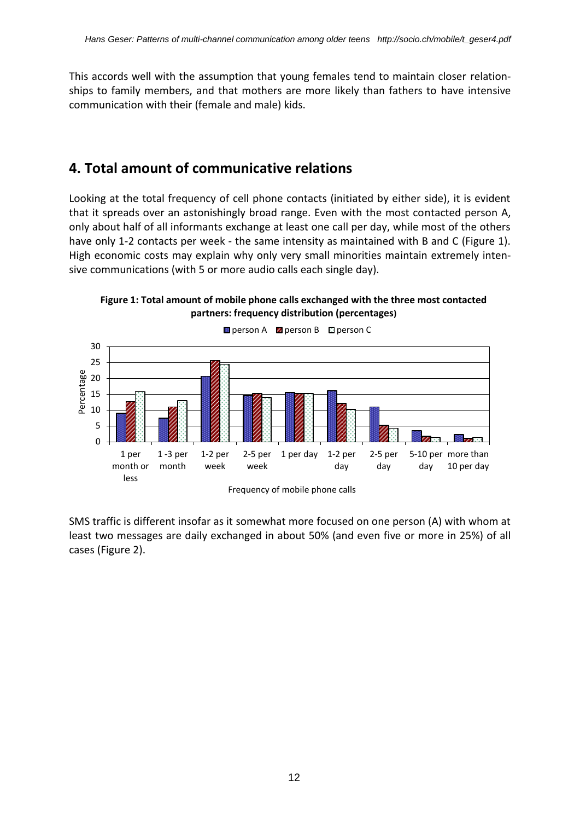This accords well with the assumption that young females tend to maintain closer relationships to family members, and that mothers are more likely than fathers to have intensive communication with their (female and male) kids.

### **4. Total amount of communicative relations**

Looking at the total frequency of cell phone contacts (initiated by either side), it is evident that it spreads over an astonishingly broad range. Even with the most contacted person A, only about half of all informants exchange at least one call per day, while most of the others have only 1-2 contacts per week - the same intensity as maintained with B and C (Figure 1). High economic costs may explain why only very small minorities maintain extremely intensive communications (with 5 or more audio calls each single day).





Frequency of mobile phone calls

SMS traffic is different insofar as it somewhat more focused on one person (A) with whom at least two messages are daily exchanged in about 50% (and even five or more in 25%) of all cases (Figure 2).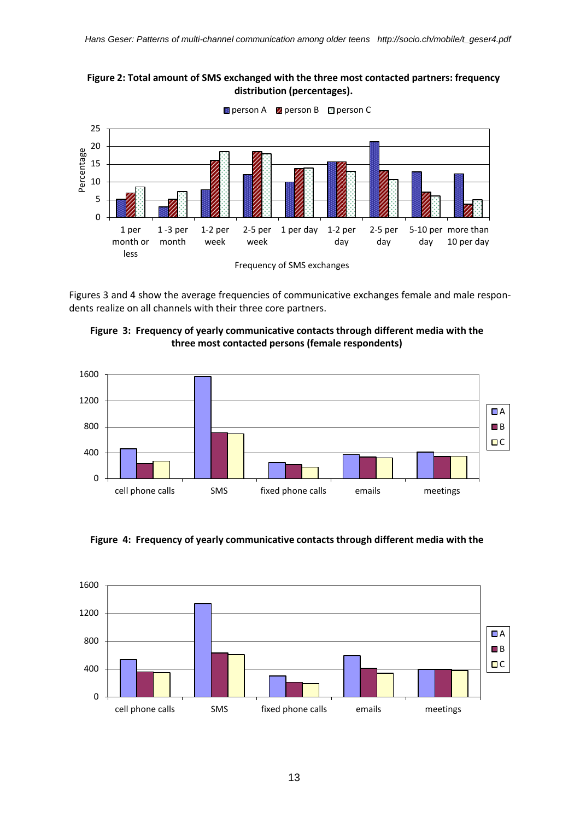



Figures 3 and 4 show the average frequencies of communicative exchanges female and male respondents realize on all channels with their three core partners.







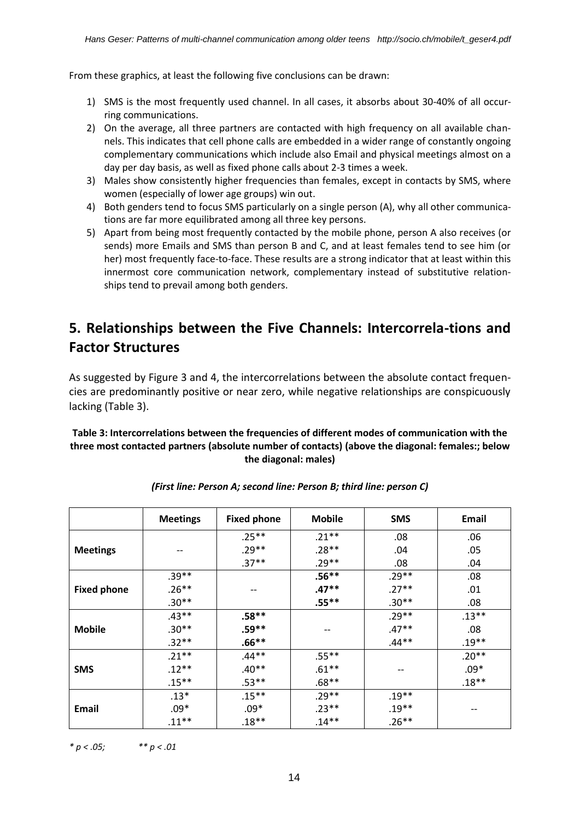From these graphics, at least the following five conclusions can be drawn:

- 1) SMS is the most frequently used channel. In all cases, it absorbs about 30-40% of all occurring communications.
- 2) On the average, all three partners are contacted with high frequency on all available channels. This indicates that cell phone calls are embedded in a wider range of constantly ongoing complementary communications which include also Email and physical meetings almost on a day per day basis, as well as fixed phone calls about 2-3 times a week.
- 3) Males show consistently higher frequencies than females, except in contacts by SMS, where women (especially of lower age groups) win out.
- 4) Both genders tend to focus SMS particularly on a single person (A), why all other communications are far more equilibrated among all three key persons.
- 5) Apart from being most frequently contacted by the mobile phone, person A also receives (or sends) more Emails and SMS than person B and C, and at least females tend to see him (or her) most frequently face-to-face. These results are a strong indicator that at least within this innermost core communication network, complementary instead of substitutive relationships tend to prevail among both genders.

### <span id="page-13-0"></span>**5. Relationships between the Five Channels: Intercorrela-tions and Factor Structures**

As suggested by Figure 3 and 4, the intercorrelations between the absolute contact frequencies are predominantly positive or near zero, while negative relationships are conspicuously lacking (Table 3).

#### **Table 3: Intercorrelations between the frequencies of different modes of communication with the three most contacted partners (absolute number of contacts) (above the diagonal: females:; below the diagonal: males)**

|                    | <b>Meetings</b>                       | <b>Fixed phone</b> | <b>Mobile</b> | <b>SMS</b>        | Email   |
|--------------------|---------------------------------------|--------------------|---------------|-------------------|---------|
|                    |                                       | $.25***$           | $.21**$       | .08               | .06     |
| <b>Meetings</b>    | $\hspace{0.05cm}$ – $\hspace{0.05cm}$ | $.29**$            | $.28**$       | .04               | .05     |
|                    |                                       | $.37**$            | $.29**$       | .08               | .04     |
|                    | $.39**$                               |                    | $.56***$      | $.29**$           | .08     |
| <b>Fixed phone</b> | $.26**$                               | --                 | $.47**$       | $.27**$           | .01     |
|                    | $.30**$                               |                    | $.55***$      | $.30**$           | .08     |
|                    | $.43**$                               | $.58**$            |               | $.29**$           | $.13**$ |
| <b>Mobile</b>      | $.30**$                               | $.59**$            |               | $.47**$           | .08     |
|                    | $.32**$                               | $.66***$           |               | $.44**$           | $.19**$ |
|                    | $.21**$                               | $.44**$            | $.55***$      |                   | $.20**$ |
| <b>SMS</b>         | $.12**$                               | $.40**$            | $.61***$      | $\qquad \qquad -$ | .09*    |
|                    | $.15***$                              | $.53**$            | $.68**$       |                   | $.18**$ |
|                    | $.13*$                                | $.15***$           | $.29**$       | $.19***$          |         |
| <b>Email</b>       | $.09*$                                | $.09*$             | $.23**$       | $.19***$          | --      |
|                    | $.11***$                              | $.18**$            | $.14**$       | $.26**$           |         |

#### *(First line: Person A; second line: Person B; third line: person C)*

*\* p < .05; \*\* p < .01*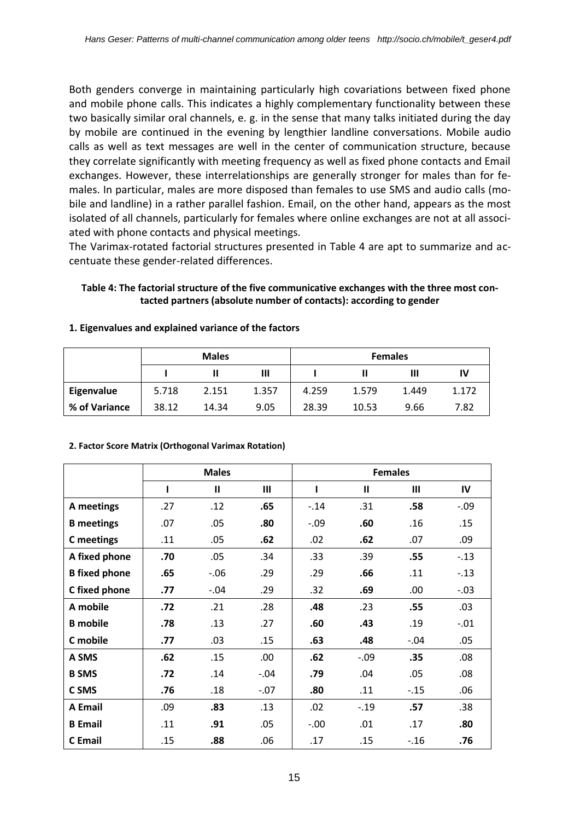Both genders converge in maintaining particularly high covariations between fixed phone and mobile phone calls. This indicates a highly complementary functionality between these two basically similar oral channels, e. g. in the sense that many talks initiated during the day by mobile are continued in the evening by lengthier landline conversations. Mobile audio calls as well as text messages are well in the center of communication structure, because they correlate significantly with meeting frequency as well as fixed phone contacts and Email exchanges. However, these interrelationships are generally stronger for males than for females. In particular, males are more disposed than females to use SMS and audio calls (mobile and landline) in a rather parallel fashion. Email, on the other hand, appears as the most isolated of all channels, particularly for females where online exchanges are not at all associated with phone contacts and physical meetings.

The Varimax-rotated factorial structures presented in Table 4 are apt to summarize and accentuate these gender-related differences.

### **Table 4: The factorial structure of the five communicative exchanges with the three most contacted partners (absolute number of contacts): according to gender**

|               |       | <b>Males</b> |       |       | <b>Females</b> |       |       |
|---------------|-------|--------------|-------|-------|----------------|-------|-------|
|               |       |              | Ш     |       |                | Ш     | IV    |
| Eigenvalue    | 5.718 | 2.151        | 1.357 | 4.259 | 1.579          | 1.449 | 1.172 |
| % of Variance | 38.12 | 14.34        | 9.05  | 28.39 | 10.53          | 9.66  | 7.82  |

### **1. Eigenvalues and explained variance of the factors**

|                      |     | <b>Males</b> |        |        |              | <b>Females</b> |         |
|----------------------|-----|--------------|--------|--------|--------------|----------------|---------|
|                      | ı   | $\mathbf{I}$ | III    | I      | $\mathbf{I}$ | $\mathbf{III}$ | IV      |
| A meetings           | .27 | .12          | .65    | $-.14$ | .31          | .58            | $-0.09$ |
| <b>B</b> meetings    | .07 | .05          | .80    | $-.09$ | .60          | .16            | .15     |
| C meetings           | .11 | .05          | .62    | .02    | .62          | .07            | .09     |
| A fixed phone        | .70 | .05          | .34    | .33    | .39          | .55            | $-.13$  |
| <b>B</b> fixed phone | .65 | $-0.06$      | .29    | .29    | .66          | .11            | $-.13$  |
| C fixed phone        | .77 | $-.04$       | .29    | .32    | .69          | .00.           | $-.03$  |
| A mobile             | .72 | .21          | .28    | .48    | .23          | .55            | .03     |
| <b>B</b> mobile      | .78 | .13          | .27    | .60    | .43          | .19            | $-.01$  |
| C mobile             | .77 | .03          | .15    | .63    | .48          | $-.04$         | .05     |
| A SMS                | .62 | .15          | .00.   | .62    | $-.09$       | .35            | .08     |
| <b>B SMS</b>         | .72 | .14          | $-.04$ | .79    | .04          | .05            | .08     |
| C SMS                | .76 | .18          | $-.07$ | .80    | .11          | $-.15$         | .06     |
| A Email              | .09 | .83          | .13    | .02    | $-0.19$      | .57            | .38     |
| <b>B</b> Email       | .11 | .91          | .05    | $-.00$ | .01          | .17            | .80     |
| <b>C</b> Email       | .15 | .88          | .06    | .17    | .15          | $-0.16$        | .76     |

### **2. Factor Score Matrix (Orthogonal Varimax Rotation)**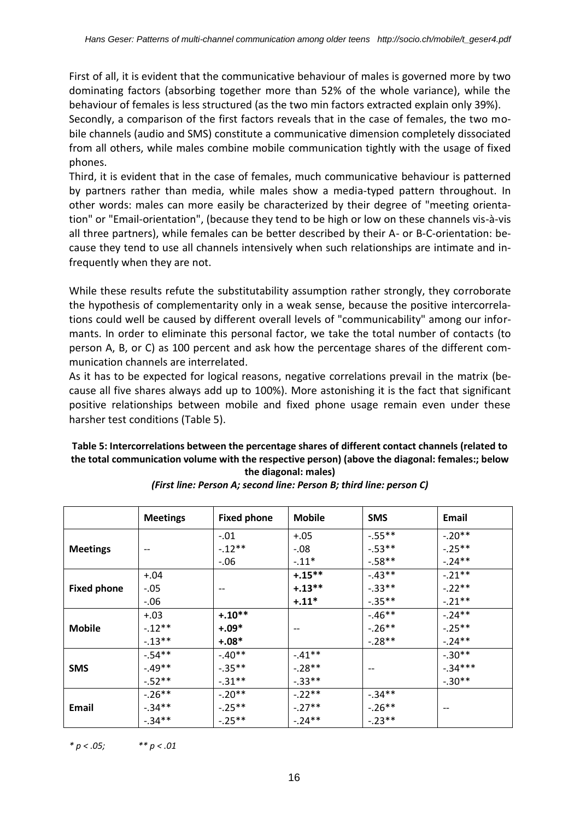First of all, it is evident that the communicative behaviour of males is governed more by two dominating factors (absorbing together more than 52% of the whole variance), while the behaviour of females is less structured (as the two min factors extracted explain only 39%). Secondly, a comparison of the first factors reveals that in the case of females, the two mobile channels (audio and SMS) constitute a communicative dimension completely dissociated from all others, while males combine mobile communication tightly with the usage of fixed phones.

Third, it is evident that in the case of females, much communicative behaviour is patterned by partners rather than media, while males show a media-typed pattern throughout. In other words: males can more easily be characterized by their degree of "meeting orientation" or "Email-orientation", (because they tend to be high or low on these channels vis-à-vis all three partners), while females can be better described by their A- or B-C-orientation: because they tend to use all channels intensively when such relationships are intimate and infrequently when they are not.

While these results refute the substitutability assumption rather strongly, they corroborate the hypothesis of complementarity only in a weak sense, because the positive intercorrelations could well be caused by different overall levels of "communicability" among our informants. In order to eliminate this personal factor, we take the total number of contacts (to person A, B, or C) as 100 percent and ask how the percentage shares of the different communication channels are interrelated.

As it has to be expected for logical reasons, negative correlations prevail in the matrix (because all five shares always add up to 100%). More astonishing it is the fact that significant positive relationships between mobile and fixed phone usage remain even under these harsher test conditions (Table 5).

### **Table 5: Intercorrelations between the percentage shares of different contact channels (related to the total communication volume with the respective person) (above the diagonal: females:; below the diagonal: males)**

|                    | <b>Meetings</b> | <b>Fixed phone</b> | <b>Mobile</b> | <b>SMS</b> | Email     |
|--------------------|-----------------|--------------------|---------------|------------|-----------|
|                    |                 | $-.01$             | $+.05$        | $-0.55**$  | $-.20**$  |
| <b>Meetings</b>    |                 | $-.12**$           | $-.08$        | $-.53**$   | $-.25***$ |
|                    |                 | $-0.06$            | $-.11*$       | $-.58**$   | $-.24**$  |
|                    | $+.04$          |                    | $+.15***$     | $-.43**$   | $-.21***$ |
| <b>Fixed phone</b> | $-.05$          | $\qquad \qquad -$  | $+.13***$     | $-.33**$   | $-.22**$  |
|                    | $-0.06$         |                    | $+.11*$       | $-0.35**$  | $-.21**$  |
|                    | $+.03$          | $+.10**$           |               | $-.46**$   | $-.24**$  |
| <b>Mobile</b>      | $-12**$         | $+.09*$            |               | $-.26**$   | $-.25**$  |
|                    | $-.13***$       | $+.08*$            |               | $-.28**$   | $-.24**$  |
|                    | $-0.54**$       | $-.40**$           | $-.41**$      |            | $-.30**$  |
| <b>SMS</b>         | $-.49**$        | $-.35***$          | $-.28**$      |            | $-.34***$ |
|                    | $-.52**$        | $-.31***$          | $-.33***$     |            | $-.30**$  |
|                    | $-.26**$        | $-.20**$           | $-.22**$      | $-.34**$   |           |
| Email              | $-.34**$        | $-.25**$           | $-.27**$      | $-.26**$   |           |
|                    | $-.34**$        | $-.25**$           | $-.24***$     | $-.23**$   |           |

*(First line: Person A; second line: Person B; third line: person C)*

*\* p < .05; \*\* p < .01*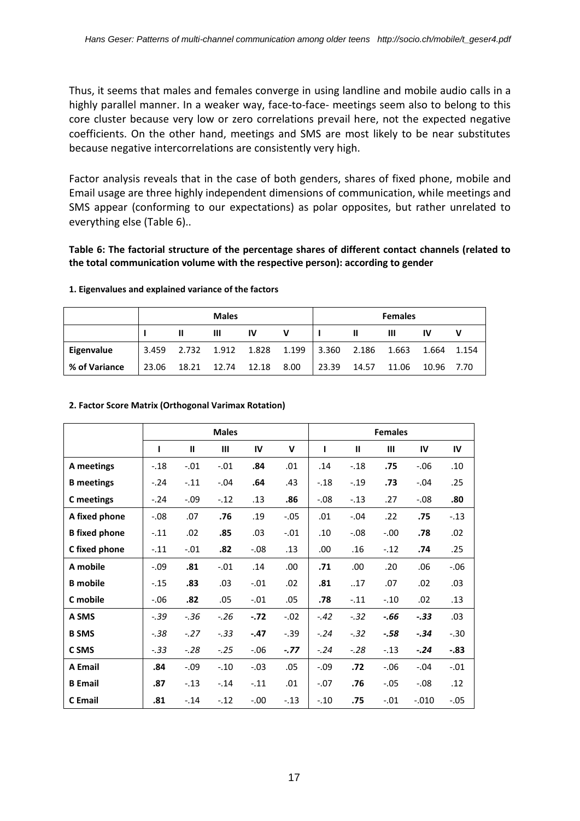Thus, it seems that males and females converge in using landline and mobile audio calls in a highly parallel manner. In a weaker way, face-to-face- meetings seem also to belong to this core cluster because very low or zero correlations prevail here, not the expected negative coefficients. On the other hand, meetings and SMS are most likely to be near substitutes because negative intercorrelations are consistently very high.

Factor analysis reveals that in the case of both genders, shares of fixed phone, mobile and Email usage are three highly independent dimensions of communication, while meetings and SMS appear (conforming to our expectations) as polar opposites, but rather unrelated to everything else (Table 6)..

#### **Table 6: The factorial structure of the percentage shares of different contact channels (related to the total communication volume with the respective person): according to gender**

#### **1. Eigenvalues and explained variance of the factors**

|               |   | <b>Males</b>            |    |                                                 |                   | <b>Females</b> |             |  |
|---------------|---|-------------------------|----|-------------------------------------------------|-------------------|----------------|-------------|--|
|               | Ш | Ш                       | IV | v                                               |                   | Ш              | IV          |  |
| Eigenvalue    |   |                         |    | 3.459 2.732 1.912 1.828 1.199 3.360 2.186 1.663 |                   |                | 1.664 1.154 |  |
| % of Variance |   | 23.06 18.21 12.74 12.18 |    | 8.00                                            | 23.39 14.57 11.06 |                | 10.96 7.70  |  |

#### **2. Factor Score Matrix (Orthogonal Varimax Rotation)**

|                      |        |              | <b>Males</b> |         |              |         |               | <b>Females</b> |         |         |
|----------------------|--------|--------------|--------------|---------|--------------|---------|---------------|----------------|---------|---------|
|                      | п      | $\mathbf{H}$ | Ш            | IV      | $\mathsf{v}$ | ı       | $\mathbf{II}$ | Ш              | IV      | IV      |
| A meetings           | $-.18$ | $-.01$       | $-.01$       | .84     | .01          | .14     | $-.18$        | .75            | $-0.06$ | .10     |
| <b>B</b> meetings    | $-24$  | $-.11$       | $-.04$       | .64     | .43          | $-.18$  | $-.19$        | .73            | $-.04$  | .25     |
| C meetings           | $-.24$ | $-.09$       | $-.12$       | .13     | .86          | $-0.08$ | $-.13$        | .27            | $-0.08$ | .80     |
| A fixed phone        | $-.08$ | .07          | .76          | .19     | $-.05$       | .01     | $-.04$        | .22            | .75     | $-.13$  |
| <b>B</b> fixed phone | $-.11$ | .02          | .85          | .03     | $-.01$       | .10     | $-0.08$       | $-0.00$        | .78     | .02     |
| C fixed phone        | $-.11$ | $-.01$       | .82          | $-0.08$ | .13          | .00     | .16           | $-.12$         | .74     | .25     |
| A mobile             | $-.09$ | .81          | $-.01$       | .14     | .00.         | .71     | .00.          | .20            | .06     | $-0.06$ |
| <b>B</b> mobile      | $-.15$ | .83          | .03          | $-.01$  | .02          | .81     | .17           | .07            | .02     | .03     |
| C mobile             | $-.06$ | .82          | .05          | $-.01$  | .05          | .78     | $-.11$        | $-.10$         | .02     | .13     |
| A SMS                | $-.39$ | $-0.36$      | $-26$        | $-.72$  | $-.02$       | $-.42$  | $-.32$        | -.66           | $-.33$  | .03     |
| <b>B SMS</b>         | $-.38$ | $-.27$       | $-.33$       | $-.47$  | $-.39$       | $-.24$  | $-.32$        | -.58           | $-.34$  | $-.30$  |
| C SMS                | $-.33$ | $-.28$       | $-.25$       | $-0.06$ | $-.77$       | $-.24$  | $-.28$        | $-.13$         | $-.24$  | $-.83$  |
| A Email              | .84    | $-.09$       | $-.10$       | $-.03$  | .05          | $-.09$  | .72           | $-0.06$        | $-0.04$ | $-.01$  |
| <b>B</b> Email       | .87    | $-.13$       | $-.14$       | $-.11$  | .01          | $-.07$  | .76           | $-.05$         | $-0.08$ | .12     |
| <b>C</b> Email       | .81    | $-.14$       | $-.12$       | $-0.00$ | $-.13$       | $-.10$  | .75           | $-.01$         | $-.010$ | $-.05$  |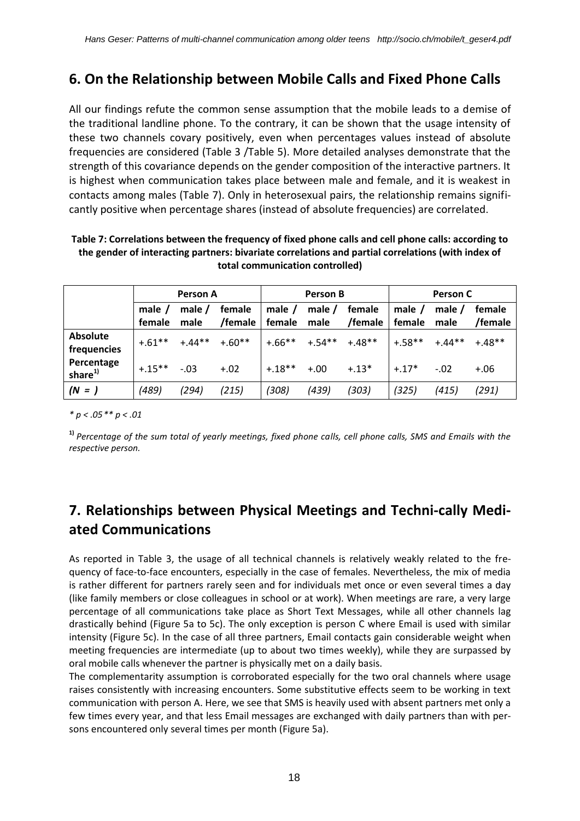### <span id="page-17-0"></span>**6. On the Relationship between Mobile Calls and Fixed Phone Calls**

All our findings refute the common sense assumption that the mobile leads to a demise of the traditional landline phone. To the contrary, it can be shown that the usage intensity of these two channels covary positively, even when percentages values instead of absolute frequencies are considered (Table 3 /Table 5). More detailed analyses demonstrate that the strength of this covariance depends on the gender composition of the interactive partners. It is highest when communication takes place between male and female, and it is weakest in contacts among males (Table 7). Only in heterosexual pairs, the relationship remains significantly positive when percentage shares (instead of absolute frequencies) are correlated.

| Table 7: Correlations between the frequency of fixed phone calls and cell phone calls: according to |
|-----------------------------------------------------------------------------------------------------|
| the gender of interacting partners: bivariate correlations and partial correlations (with index of  |
| total communication controlled)                                                                     |

|                                   |                  | Person A         |                                                          |                         | <b>Person B</b> |                   | Person C              |        |                   |
|-----------------------------------|------------------|------------------|----------------------------------------------------------|-------------------------|-----------------|-------------------|-----------------------|--------|-------------------|
|                                   | male /<br>female | male $/$<br>male | female<br>/female $ $                                    | male $/$<br>female male | male $/$        | female<br>/female | male /<br>female male | male / | female<br>/female |
| <b>Absolute</b><br>frequencies    |                  |                  | $+.61***$ $+.44***$ $+.60**$ $+.66***$ $+.54**$ $+.48**$ |                         |                 |                   | $+.58** +.44**$       |        | $+48**$           |
| Percentage<br>share <sup>1)</sup> | $+.15***-.03$    |                  | $+.02$                                                   | $+.18**$                | $+.00$          | $+.13*$           | $+17*$                | $-.02$ | $+.06$            |
| $(N = )$                          | (489)            | (294)            | (215)                                                    | (308)                   | (439)           | (303)             | (325)                 | (415)  | (291)             |

*\* p < .05\*\* p < .01*

<span id="page-17-1"></span>**1)** *Percentage of the sum total of yearly meetings, fixed phone calls, cell phone calls, SMS and Emails with the respective person.*

# **7. Relationships between Physical Meetings and Techni-cally Mediated Communications**

As reported in Table 3, the usage of all technical channels is relatively weakly related to the frequency of face-to-face encounters, especially in the case of females. Nevertheless, the mix of media is rather different for partners rarely seen and for individuals met once or even several times a day (like family members or close colleagues in school or at work). When meetings are rare, a very large percentage of all communications take place as Short Text Messages, while all other channels lag drastically behind (Figure 5a to 5c). The only exception is person C where Email is used with similar intensity (Figure 5c). In the case of all three partners, Email contacts gain considerable weight when meeting frequencies are intermediate (up to about two times weekly), while they are surpassed by oral mobile calls whenever the partner is physically met on a daily basis.

The complementarity assumption is corroborated especially for the two oral channels where usage raises consistently with increasing encounters. Some substitutive effects seem to be working in text communication with person A. Here, we see that SMS is heavily used with absent partners met only a few times every year, and that less Email messages are exchanged with daily partners than with persons encountered only several times per month (Figure 5a).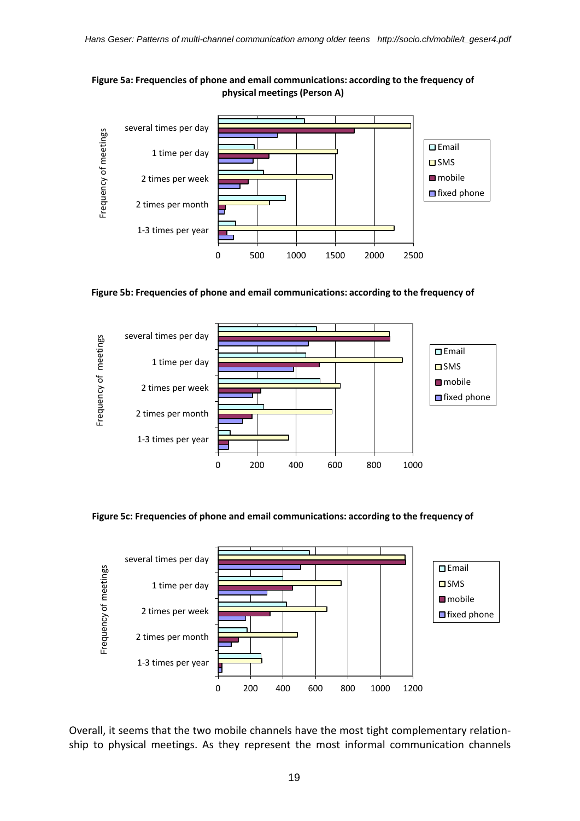**Figure 5a: Frequencies of phone and email communications: according to the frequency of physical meetings (Person A)**



**Figure 5b: Frequencies of phone and email communications: according to the frequency of** 



**Figure 5c: Frequencies of phone and email communications: according to the frequency of** 



Overall, it seems that the two mobile channels have the most tight complementary relationship to physical meetings. As they represent the most informal communication channels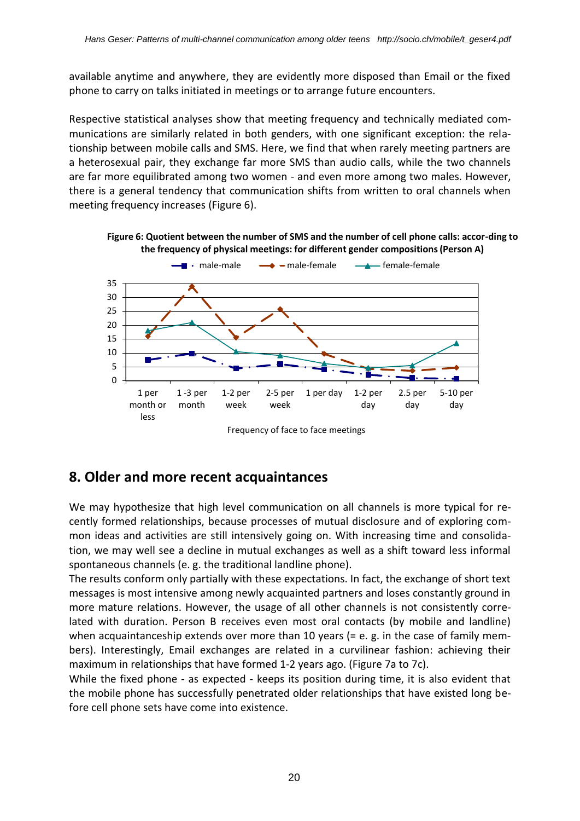available anytime and anywhere, they are evidently more disposed than Email or the fixed phone to carry on talks initiated in meetings or to arrange future encounters.

Respective statistical analyses show that meeting frequency and technically mediated communications are similarly related in both genders, with one significant exception: the relationship between mobile calls and SMS. Here, we find that when rarely meeting partners are a heterosexual pair, they exchange far more SMS than audio calls, while the two channels are far more equilibrated among two women - and even more among two males. However, there is a general tendency that communication shifts from written to oral channels when meeting frequency increases (Figure 6).





Frequency of face to face meetings

### <span id="page-19-0"></span>**8. Older and more recent acquaintances**

We may hypothesize that high level communication on all channels is more typical for recently formed relationships, because processes of mutual disclosure and of exploring common ideas and activities are still intensively going on. With increasing time and consolidation, we may well see a decline in mutual exchanges as well as a shift toward less informal spontaneous channels (e. g. the traditional landline phone).

The results conform only partially with these expectations. In fact, the exchange of short text messages is most intensive among newly acquainted partners and loses constantly ground in more mature relations. However, the usage of all other channels is not consistently correlated with duration. Person B receives even most oral contacts (by mobile and landline) when acquaintanceship extends over more than 10 years (= e. g. in the case of family members). Interestingly, Email exchanges are related in a curvilinear fashion: achieving their maximum in relationships that have formed 1-2 years ago. (Figure 7a to 7c).

While the fixed phone - as expected - keeps its position during time, it is also evident that the mobile phone has successfully penetrated older relationships that have existed long before cell phone sets have come into existence.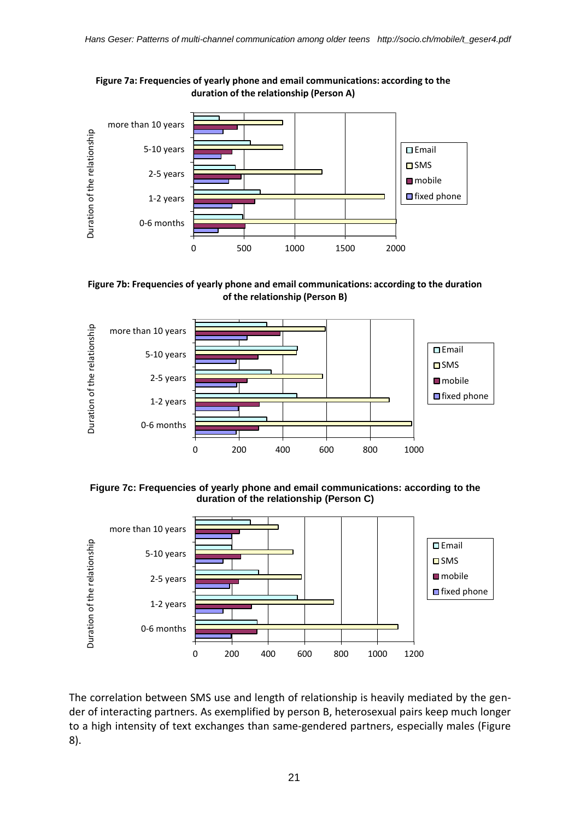







**Figure 7c: Frequencies of yearly phone and email communications: according to the duration of the relationship (Person C)**



The correlation between SMS use and length of relationship is heavily mediated by the gender of interacting partners. As exemplified by person B, heterosexual pairs keep much longer to a high intensity of text exchanges than same-gendered partners, especially males (Figure 8).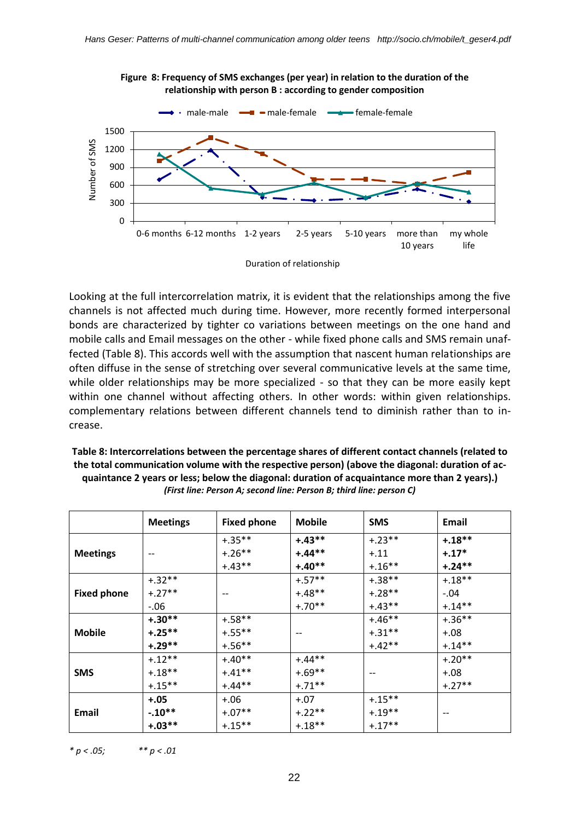

**Figure 8: Frequency of SMS exchanges (per year) in relation to the duration of the relationship with person B : according to gender composition**

Looking at the full intercorrelation matrix, it is evident that the relationships among the five channels is not affected much during time. However, more recently formed interpersonal bonds are characterized by tighter co variations between meetings on the one hand and mobile calls and Email messages on the other - while fixed phone calls and SMS remain unaffected (Table 8). This accords well with the assumption that nascent human relationships are often diffuse in the sense of stretching over several communicative levels at the same time, while older relationships may be more specialized - so that they can be more easily kept within one channel without affecting others. In other words: within given relationships. complementary relations between different channels tend to diminish rather than to increase.

| Table 8: Intercorrelations between the percentage shares of different contact channels (related to |
|----------------------------------------------------------------------------------------------------|
| the total communication volume with the respective person) (above the diagonal: duration of ac-    |
| quaintance 2 years or less; below the diagonal: duration of acquaintance more than 2 years).       |
| (First line: Person A: second line: Person B: third line: person C)                                |

|                    | <b>Meetings</b> | <b>Fixed phone</b> | <b>Mobile</b> | <b>SMS</b> | Email     |
|--------------------|-----------------|--------------------|---------------|------------|-----------|
|                    |                 | $+.35***$          | $+.43**$      | $+.23**$   | $+.18**$  |
| <b>Meetings</b>    |                 | $+.26***$          | $+.44***$     | $+.11$     | $+.17*$   |
|                    |                 | $+.43**$           | $+.40**$      | $+.16***$  | $+.24***$ |
|                    | $+.32**$        |                    | $+.57**$      | $+.38**$   | $+.18**$  |
| <b>Fixed phone</b> | $+.27**$        |                    | $+.48**$      | $+.28**$   | $-.04$    |
|                    | $-.06$          |                    | $+.70**$      | $+.43**$   | $+.14***$ |
|                    | $+.30**$        | $+.58**$           |               | $+.46**$   | $+.36***$ |
| <b>Mobile</b>      | $+.25***$       | $+.55***$          |               | $+.31***$  | $+.08$    |
|                    | $+.29**$        | $+.56***$          |               | $+.42**$   | $+.14***$ |
|                    | $+.12**$        | $+.40**$           | $+.44**$      |            | $+.20**$  |
| <b>SMS</b>         | $+.18**$        | $+.41***$          | $+.69**$      |            | $+.08$    |
|                    | $+.15***$       | $+.44**$           | $+.71**$      |            | $+.27**$  |
|                    | $+.05$          | $+.06$             | $+.07$        | $+.15***$  |           |
| Email              | $-.10**$        | $+.07**$           | $+.22***$     | $+.19**$   |           |
|                    | $+.03**$        | $+.15***$          | $+.18**$      | $+.17**$   |           |

*\* p < .05; \*\* p < .01*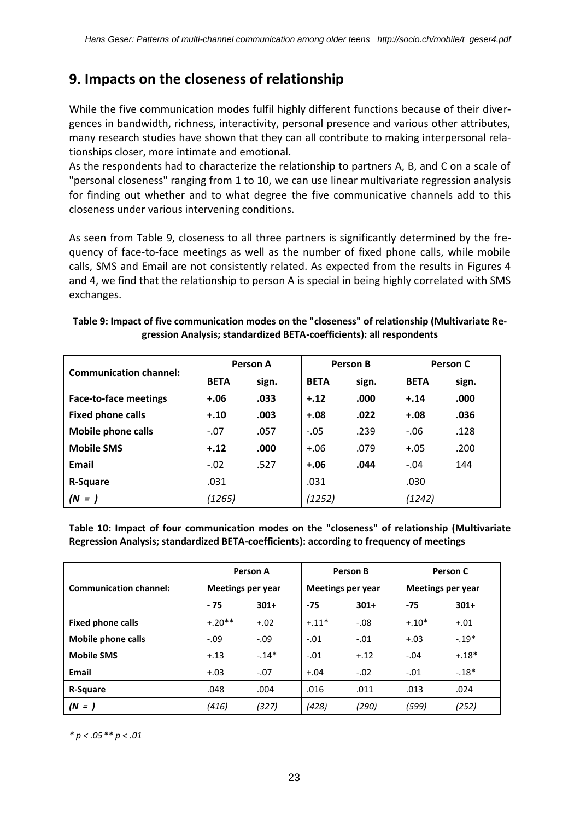### <span id="page-22-0"></span>**9. Impacts on the closeness of relationship**

While the five communication modes fulfil highly different functions because of their divergences in bandwidth, richness, interactivity, personal presence and various other attributes, many research studies have shown that they can all contribute to making interpersonal relationships closer, more intimate and emotional.

As the respondents had to characterize the relationship to partners A, B, and C on a scale of "personal closeness" ranging from 1 to 10, we can use linear multivariate regression analysis for finding out whether and to what degree the five communicative channels add to this closeness under various intervening conditions.

As seen from Table 9, closeness to all three partners is significantly determined by the frequency of face-to-face meetings as well as the number of fixed phone calls, while mobile calls, SMS and Email are not consistently related. As expected from the results in Figures 4 and 4, we find that the relationship to person A is special in being highly correlated with SMS exchanges.

| <b>Communication channel:</b> | Person A    |       | <b>Person B</b> |       | Person C    |       |
|-------------------------------|-------------|-------|-----------------|-------|-------------|-------|
|                               | <b>BETA</b> | sign. | <b>BETA</b>     | sign. | <b>BETA</b> | sign. |
| <b>Face-to-face meetings</b>  | $+.06$      | .033  | $+.12$          | .000  | $+.14$      | .000  |
| <b>Fixed phone calls</b>      | $+.10$      | .003  | $+.08$          | .022  | $+.08$      | .036  |
| <b>Mobile phone calls</b>     | $-.07$      | .057  | $-.05$          | .239  | $-.06$      | .128  |
| <b>Mobile SMS</b>             | $+.12$      | .000  | $+.06$          | .079  | $+.05$      | .200  |
| Email                         | $-.02$      | .527  | $+.06$          | .044  | $-.04$      | 144   |
| R-Square                      | .031        |       | .031            |       | .030        |       |
| $(N =$                        | (1265)      |       | (1252)          |       | (1242)      |       |

| Table 9: Impact of five communication modes on the "closeness" of relationship (Multivariate Re- |
|--------------------------------------------------------------------------------------------------|
| gression Analysis; standardized BETA-coefficients): all respondents                              |

**Table 10: Impact of four communication modes on the "closeness" of relationship (Multivariate Regression Analysis; standardized BETA-coefficients): according to frequency of meetings**

|                               | <b>Person A</b>          |        | <b>Person B</b>          |        | Person C                 |         |
|-------------------------------|--------------------------|--------|--------------------------|--------|--------------------------|---------|
| <b>Communication channel:</b> | <b>Meetings per year</b> |        | <b>Meetings per year</b> |        | <b>Meetings per year</b> |         |
|                               | $-75$                    | $301+$ | $-75$                    | $301+$ | $-75$                    | $301+$  |
| <b>Fixed phone calls</b>      | $+.20**$                 | $+.02$ | $+.11*$                  | $-.08$ | $+.10*$                  | $+.01$  |
| Mobile phone calls            | $-.09$                   | $-.09$ | $-.01$                   | $-.01$ | $+.03$                   | $-.19*$ |
| <b>Mobile SMS</b>             | $+.13$                   | $-14*$ | $-.01$                   | $+.12$ | $-.04$                   | $+.18*$ |
| Email                         | $+.03$                   | $-.07$ | $+.04$                   | $-.02$ | $-.01$                   | $-.18*$ |
| R-Square                      | .048                     | .004   | .016                     | .011   | .013                     | .024    |
| $(N = )$                      | (416)                    | (327)  | (428)                    | (290)  | (599)                    | (252)   |

*\* p < .05\*\* p < .01*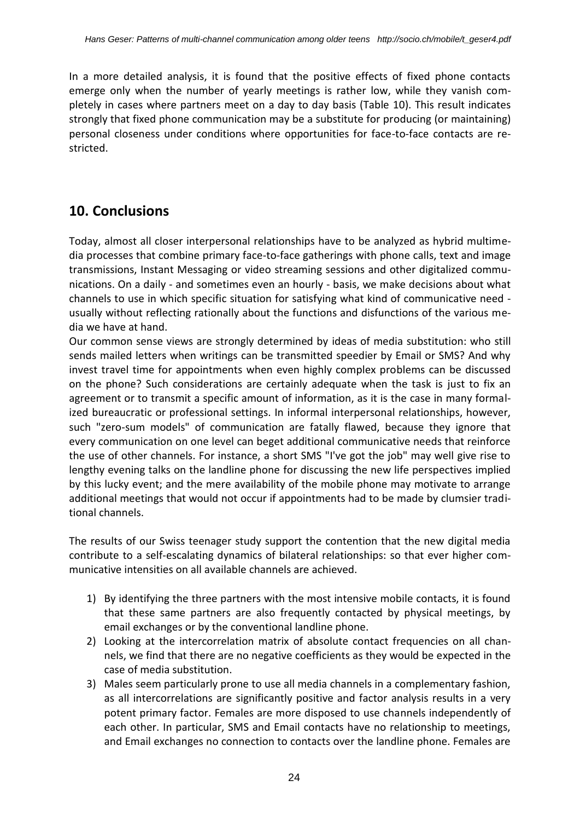<span id="page-23-0"></span>In a more detailed analysis, it is found that the positive effects of fixed phone contacts emerge only when the number of yearly meetings is rather low, while they vanish completely in cases where partners meet on a day to day basis (Table 10). This result indicates strongly that fixed phone communication may be a substitute for producing (or maintaining) personal closeness under conditions where opportunities for face-to-face contacts are restricted.

### **10. Conclusions**

Today, almost all closer interpersonal relationships have to be analyzed as hybrid multimedia processes that combine primary face-to-face gatherings with phone calls, text and image transmissions, Instant Messaging or video streaming sessions and other digitalized communications. On a daily - and sometimes even an hourly - basis, we make decisions about what channels to use in which specific situation for satisfying what kind of communicative need usually without reflecting rationally about the functions and disfunctions of the various media we have at hand.

Our common sense views are strongly determined by ideas of media substitution: who still sends mailed letters when writings can be transmitted speedier by Email or SMS? And why invest travel time for appointments when even highly complex problems can be discussed on the phone? Such considerations are certainly adequate when the task is just to fix an agreement or to transmit a specific amount of information, as it is the case in many formalized bureaucratic or professional settings. In informal interpersonal relationships, however, such "zero-sum models" of communication are fatally flawed, because they ignore that every communication on one level can beget additional communicative needs that reinforce the use of other channels. For instance, a short SMS "I've got the job" may well give rise to lengthy evening talks on the landline phone for discussing the new life perspectives implied by this lucky event; and the mere availability of the mobile phone may motivate to arrange additional meetings that would not occur if appointments had to be made by clumsier traditional channels.

The results of our Swiss teenager study support the contention that the new digital media contribute to a self-escalating dynamics of bilateral relationships: so that ever higher communicative intensities on all available channels are achieved.

- 1) By identifying the three partners with the most intensive mobile contacts, it is found that these same partners are also frequently contacted by physical meetings, by email exchanges or by the conventional landline phone.
- 2) Looking at the intercorrelation matrix of absolute contact frequencies on all channels, we find that there are no negative coefficients as they would be expected in the case of media substitution.
- 3) Males seem particularly prone to use all media channels in a complementary fashion, as all intercorrelations are significantly positive and factor analysis results in a very potent primary factor. Females are more disposed to use channels independently of each other. In particular, SMS and Email contacts have no relationship to meetings, and Email exchanges no connection to contacts over the landline phone. Females are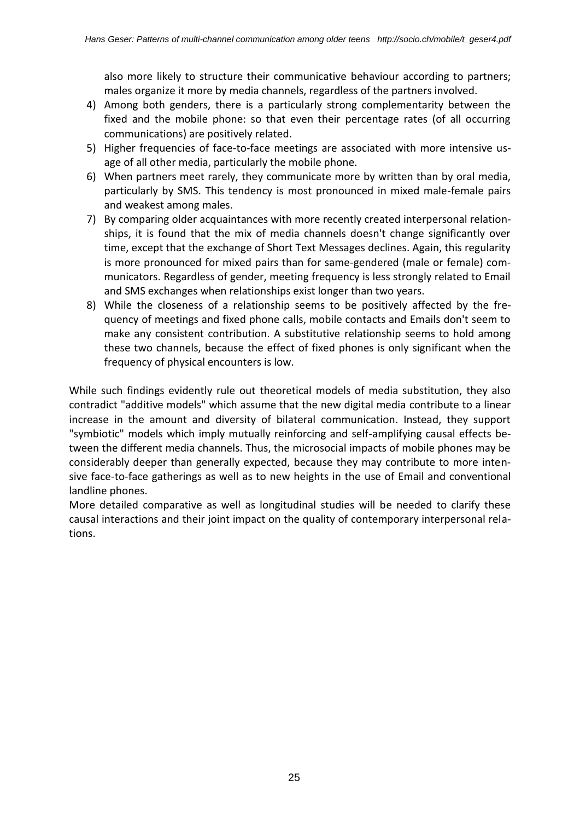also more likely to structure their communicative behaviour according to partners; males organize it more by media channels, regardless of the partners involved.

- 4) Among both genders, there is a particularly strong complementarity between the fixed and the mobile phone: so that even their percentage rates (of all occurring communications) are positively related.
- 5) Higher frequencies of face-to-face meetings are associated with more intensive usage of all other media, particularly the mobile phone.
- 6) When partners meet rarely, they communicate more by written than by oral media, particularly by SMS. This tendency is most pronounced in mixed male-female pairs and weakest among males.
- 7) By comparing older acquaintances with more recently created interpersonal relationships, it is found that the mix of media channels doesn't change significantly over time, except that the exchange of Short Text Messages declines. Again, this regularity is more pronounced for mixed pairs than for same-gendered (male or female) communicators. Regardless of gender, meeting frequency is less strongly related to Email and SMS exchanges when relationships exist longer than two years.
- 8) While the closeness of a relationship seems to be positively affected by the frequency of meetings and fixed phone calls, mobile contacts and Emails don't seem to make any consistent contribution. A substitutive relationship seems to hold among these two channels, because the effect of fixed phones is only significant when the frequency of physical encounters is low.

While such findings evidently rule out theoretical models of media substitution, they also contradict "additive models" which assume that the new digital media contribute to a linear increase in the amount and diversity of bilateral communication. Instead, they support "symbiotic" models which imply mutually reinforcing and self-amplifying causal effects between the different media channels. Thus, the microsocial impacts of mobile phones may be considerably deeper than generally expected, because they may contribute to more intensive face-to-face gatherings as well as to new heights in the use of Email and conventional landline phones.

<span id="page-24-0"></span>More detailed comparative as well as longitudinal studies will be needed to clarify these causal interactions and their joint impact on the quality of contemporary interpersonal relations.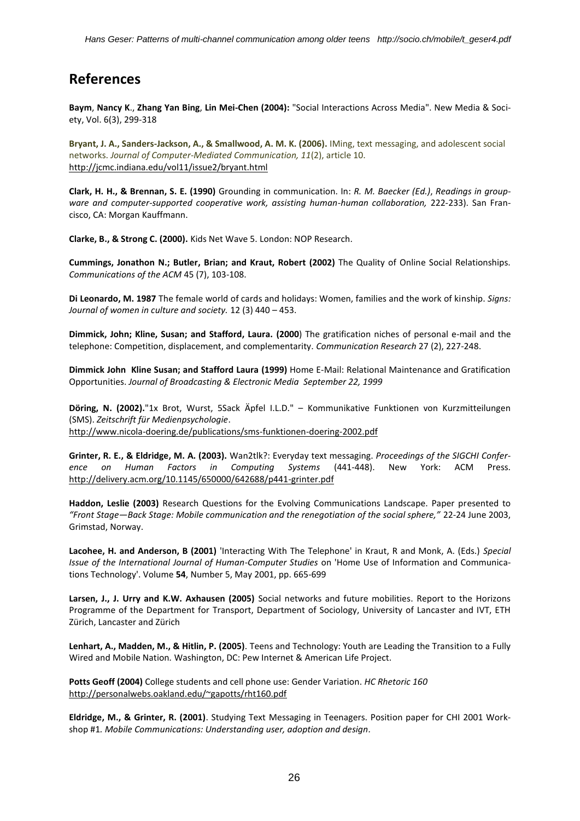### **References**

**Baym**, **Nancy K**., **Zhang Yan Bing**, **Lin Mei-Chen (2004):** "Social Interactions Across Media". New Media & Society, Vol. 6(3), 299-318

**Bryant, J. A., Sanders-Jackson, A., & Smallwood, A. M. K. (2006).** IMing, text messaging, and adolescent social networks. *Journal of Computer-Mediated Communication, 11*(2), article 10. <http://jcmc.indiana.edu/vol11/issue2/bryant.html>

**Clark, H. H., & Brennan, S. E. (1990)** Grounding in communication. In: *R. M. Baecker (Ed.)*, *Readings in group*ware and computer-supported cooperative work, assisting human-human collaboration, 222-233). San Francisco, CA: Morgan Kauffmann.

**Clarke, B., & Strong C. (2000).** Kids Net Wave 5. London: NOP Research.

**Cummings, Jonathon N.; Butler, Brian; and Kraut, Robert (2002)** The Quality of Online Social Relationships. *Communications of the ACM* 45 (7), 103-108.

**Di Leonardo, M. 1987** The female world of cards and holidays: Women, families and the work of kinship. *Signs: Journal of women in culture and society.* 12 (3) 440 – 453.

**Dimmick, John; Kline, Susan; and Stafford, Laura. (2000**) The gratification niches of personal e-mail and the telephone: Competition, displacement, and complementarity. *Communication Research* 27 (2), 227-248.

**[Dimmick John Kline Susan; and Stafford Laura](http://www.highbeam.com/Search.aspx?q=Dimmick+John%3b+Kline+Susan%3b+and+Stafford+Laura) (1999)** Home E-Mail: Relational Maintenance and Gratification Opportunities. *[Journal of Broadcasting & Electronic Media](http://www.highbeam.com/Search.aspx?q=Dimmick+John%3b+Kline+Susan%3b+and+Stafford+Laura%20publication:%5B%22Journal%20of%20Broadcasting%20&%20Electronic%20Media%22%5D) [September 22, 1999](http://www.highbeam.com/Search.aspx?q=Dimmick+John%3b+Kline+Susan%3b+and+Stafford+Laura%20pubdate:%5B19990919;19990925%5D)*

**Döring, N. (2002).**"1x Brot, Wurst, 5Sack Äpfel I.L.D." – Kommunikative Funktionen von Kurzmitteilungen (SMS). *Zeitschrift für Medienpsychologie*. <http://www.nicola-doering.de/publications/sms-funktionen-doering-2002.pdf>

**Grinter, R. E., & Eldridge, M. A. (2003).** Wan2tlk?: Everyday text messaging. *Proceedings of the SIGCHI Conference on Human Factors in Computing Systems* (441-448). New York: ACM Press. <http://delivery.acm.org/10.1145/650000/642688/p441-grinter.pdf>

**Haddon, Leslie (2003)** Research Questions for the Evolving Communications Landscape. Paper presented to *"Front Stage—Back Stage: Mobile communication and the renegotiation of the social sphere,"* 22-24 June 2003, Grimstad, Norway.

**Lacohee, H. and Anderson, B (2001)** 'Interacting With The Telephone' in Kraut, R and Monk, A. (Eds.) *Special Issue of the International Journal of Human-Computer Studies* on 'Home Use of Information and Communications Technology'. Volume **54**, Number 5, May 2001, pp. 665-699

**Larsen, J., J. Urry and K.W. Axhausen (2005)** Social networks and future mobilities. Report to the Horizons Programme of the Department for Transport, Department of Sociology, University of Lancaster and IVT, ETH Zürich, Lancaster and Zürich

**Lenhart, A., Madden, M., & Hitlin, P. (2005)**. Teens and Technology: Youth are Leading the Transition to a Fully Wired and Mobile Nation*.* Washington, DC: Pew Internet & American Life Project.

**Potts Geoff (2004)** College students and cell phone use: Gender Variation. *HC Rhetoric 160* <http://personalwebs.oakland.edu/~gapotts/rht160.pdf>

**Eldridge, M., & Grinter, R. (2001)**. Studying Text Messaging in Teenagers. Position paper for CHI 2001 Workshop #1*. Mobile Communications: Understanding user, adoption and design.*